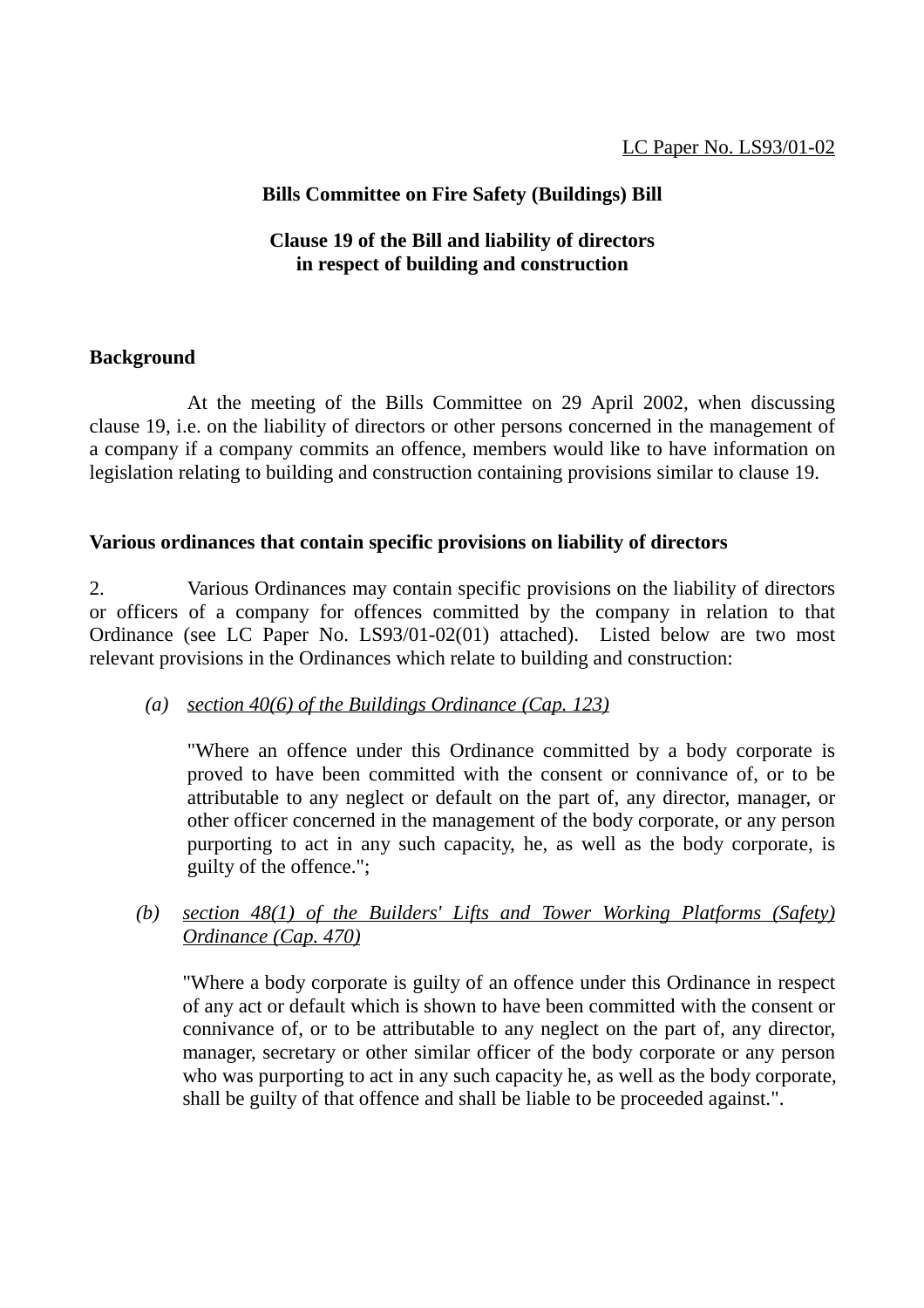## **Bills Committee on Fire Safety (Buildings) Bill**

## **Clause 19 of the Bill and liability of directors in respect of building and construction**

## **Background**

At the meeting of the Bills Committee on 29 April 2002, when discussing clause 19, i.e. on the liability of directors or other persons concerned in the management of a company if a company commits an offence, members would like to have information on legislation relating to building and construction containing provisions similar to clause 19.

#### **Various ordinances that contain specific provisions on liability of directors**

2. Various Ordinances may contain specific provisions on the liability of directors or officers of a company for offences committed by the company in relation to that Ordinance (see LC Paper No. LS93/01-02(01) attached). Listed below are two most relevant provisions in the Ordinances which relate to building and construction:

## *(a) section 40(6) of the Buildings Ordinance (Cap. 123)*

"Where an offence under this Ordinance committed by a body corporate is proved to have been committed with the consent or connivance of, or to be attributable to any neglect or default on the part of, any director, manager, or other officer concerned in the management of the body corporate, or any person purporting to act in any such capacity, he, as well as the body corporate, is guilty of the offence.";

## *(b) section 48(1) of the Builders' Lifts and Tower Working Platforms (Safety) Ordinance (Cap. 470)*

"Where a body corporate is guilty of an offence under this Ordinance in respect of any act or default which is shown to have been committed with the consent or connivance of, or to be attributable to any neglect on the part of, any director, manager, secretary or other similar officer of the body corporate or any person who was purporting to act in any such capacity he, as well as the body corporate, shall be guilty of that offence and shall be liable to be proceeded against.".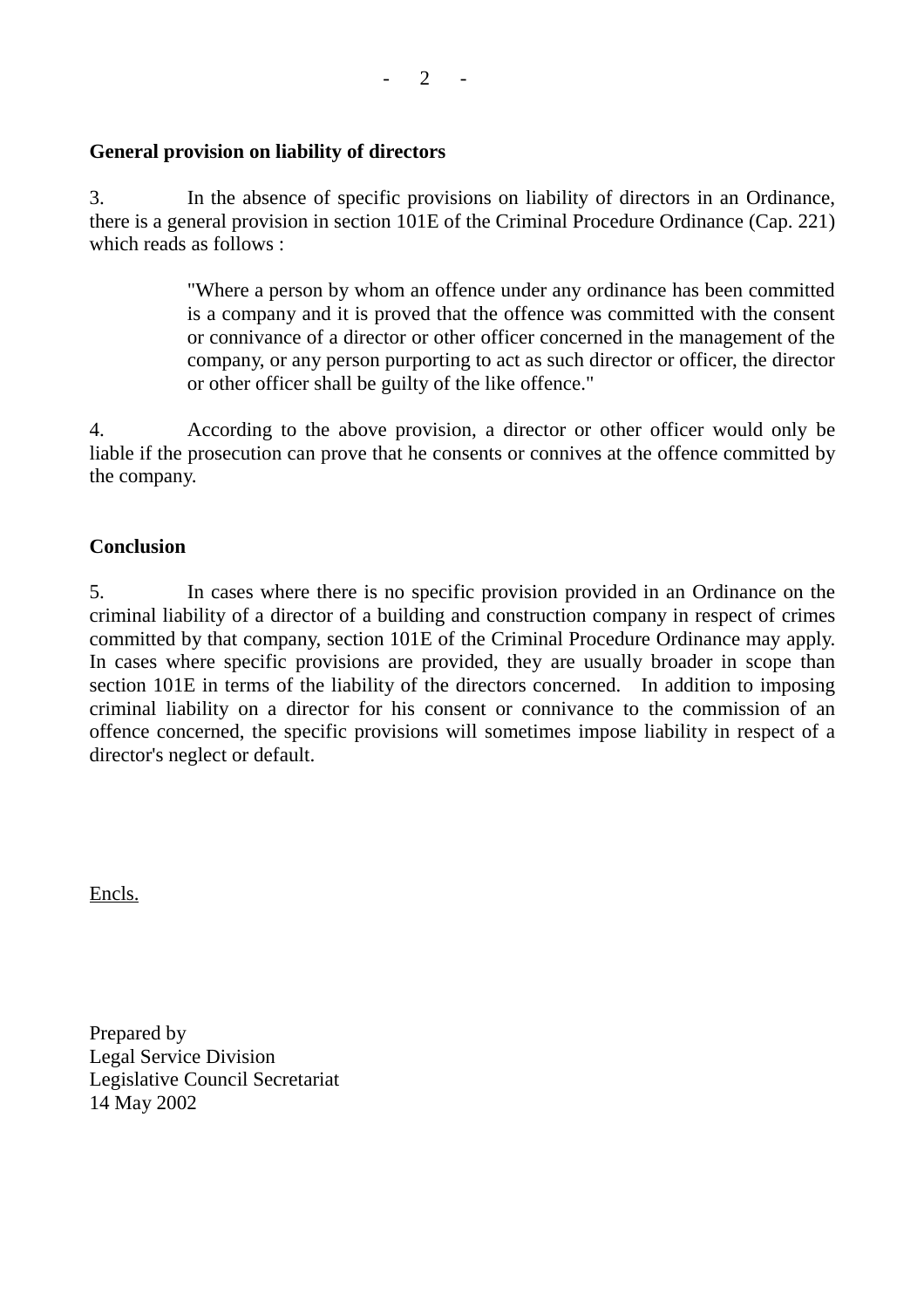#### **General provision on liability of directors**

3. In the absence of specific provisions on liability of directors in an Ordinance, there is a general provision in section 101E of the Criminal Procedure Ordinance (Cap. 221) which reads as follows :

> "Where a person by whom an offence under any ordinance has been committed is a company and it is proved that the offence was committed with the consent or connivance of a director or other officer concerned in the management of the company, or any person purporting to act as such director or officer, the director or other officer shall be guilty of the like offence."

4. According to the above provision, a director or other officer would only be liable if the prosecution can prove that he consents or connives at the offence committed by the company.

#### **Conclusion**

5. In cases where there is no specific provision provided in an Ordinance on the criminal liability of a director of a building and construction company in respect of crimes committed by that company, section 101E of the Criminal Procedure Ordinance may apply. In cases where specific provisions are provided, they are usually broader in scope than section 101E in terms of the liability of the directors concerned. In addition to imposing criminal liability on a director for his consent or connivance to the commission of an offence concerned, the specific provisions will sometimes impose liability in respect of a director's neglect or default.

Encls.

Prepared by Legal Service Division Legislative Council Secretariat 14 May 2002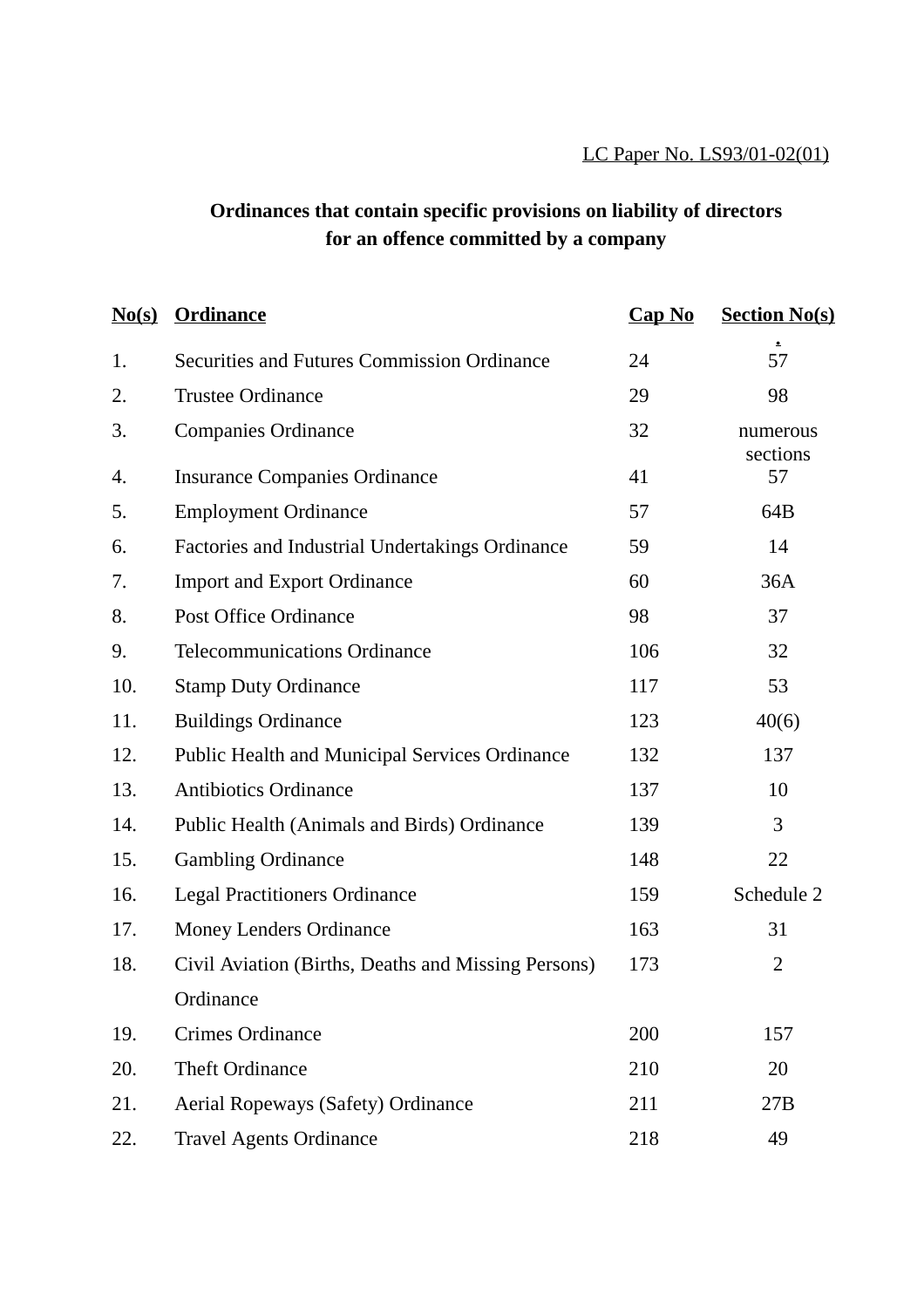# **Ordinances that contain specific provisions on liability of directors for an offence committed by a company**

| No(s) | <b>Ordinance</b>                                    | $Cap$ No | <b>Section No(s)</b> |
|-------|-----------------------------------------------------|----------|----------------------|
| 1.    | <b>Securities and Futures Commission Ordinance</b>  | 24       | 57                   |
| 2.    | <b>Trustee Ordinance</b>                            | 29       | 98                   |
| 3.    | <b>Companies Ordinance</b>                          | 32       | numerous<br>sections |
| 4.    | <b>Insurance Companies Ordinance</b>                | 41       | 57                   |
| 5.    | <b>Employment Ordinance</b>                         | 57       | 64B                  |
| 6.    | Factories and Industrial Undertakings Ordinance     | 59       | 14                   |
| 7.    | <b>Import and Export Ordinance</b>                  | 60       | 36A                  |
| 8.    | <b>Post Office Ordinance</b>                        | 98       | 37                   |
| 9.    | <b>Telecommunications Ordinance</b>                 | 106      | 32                   |
| 10.   | <b>Stamp Duty Ordinance</b>                         | 117      | 53                   |
| 11.   | <b>Buildings Ordinance</b>                          | 123      | 40(6)                |
| 12.   | Public Health and Municipal Services Ordinance      | 132      | 137                  |
| 13.   | <b>Antibiotics Ordinance</b>                        | 137      | 10                   |
| 14.   | Public Health (Animals and Birds) Ordinance         | 139      | 3                    |
| 15.   | <b>Gambling Ordinance</b>                           | 148      | 22                   |
| 16.   | <b>Legal Practitioners Ordinance</b>                | 159      | Schedule 2           |
| 17.   | <b>Money Lenders Ordinance</b>                      | 163      | 31                   |
| 18.   | Civil Aviation (Births, Deaths and Missing Persons) | 173      | $\overline{2}$       |
|       | Ordinance                                           |          |                      |
| 19.   | Crimes Ordinance                                    | 200      | 157                  |
| 20.   | Theft Ordinance                                     | 210      | 20                   |
| 21.   | Aerial Ropeways (Safety) Ordinance                  | 211      | 27B                  |
| 22.   | <b>Travel Agents Ordinance</b>                      | 218      | 49                   |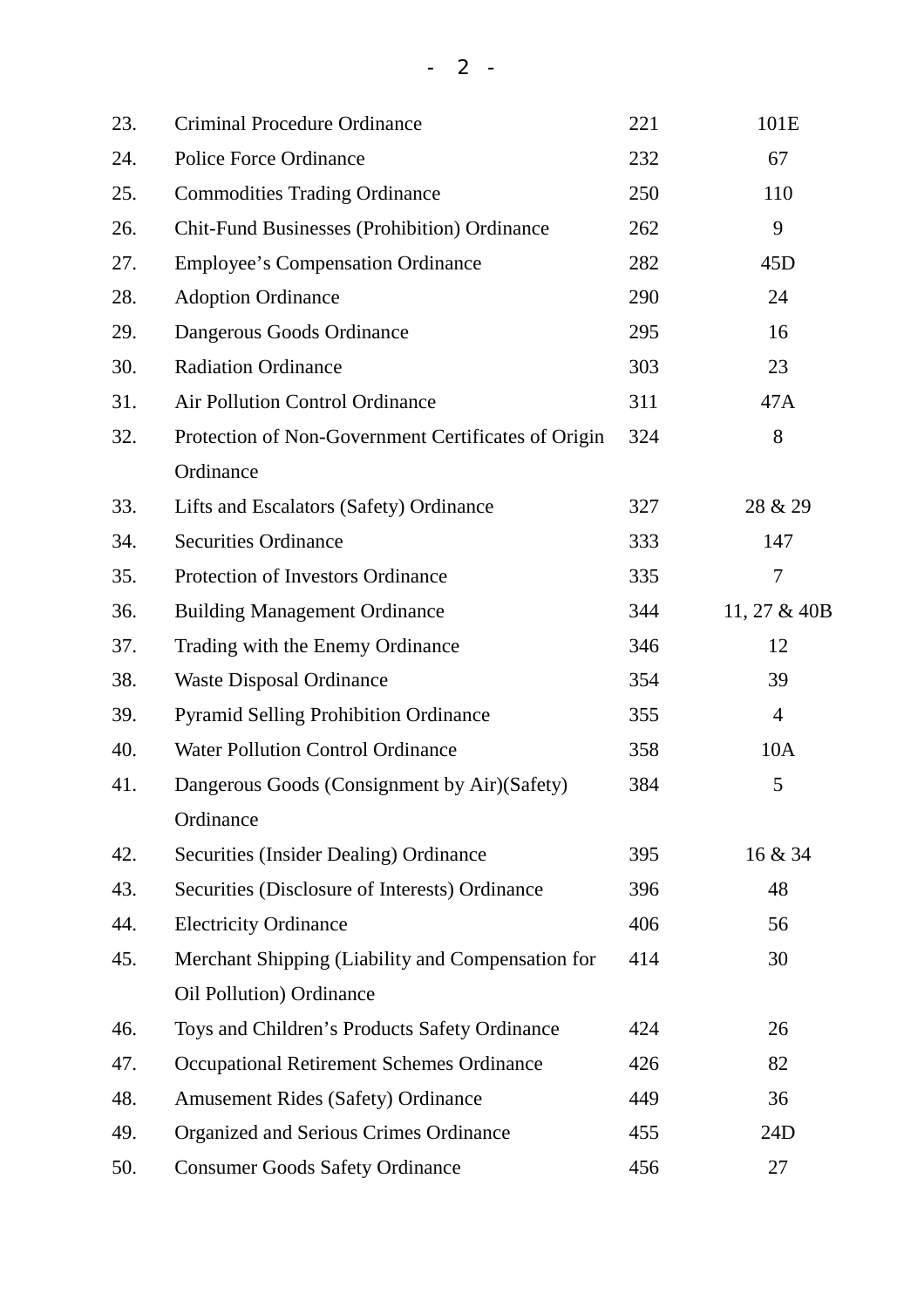| 23. | <b>Criminal Procedure Ordinance</b>                 | 221 | 101E           |
|-----|-----------------------------------------------------|-----|----------------|
| 24. | <b>Police Force Ordinance</b>                       | 232 | 67             |
| 25. | <b>Commodities Trading Ordinance</b>                | 250 | 110            |
| 26. | <b>Chit-Fund Businesses (Prohibition) Ordinance</b> | 262 | 9              |
| 27. | <b>Employee's Compensation Ordinance</b>            | 282 | 45D            |
| 28. | <b>Adoption Ordinance</b>                           | 290 | 24             |
| 29. | Dangerous Goods Ordinance                           | 295 | 16             |
| 30. | <b>Radiation Ordinance</b>                          | 303 | 23             |
| 31. | <b>Air Pollution Control Ordinance</b>              | 311 | 47A            |
| 32. | Protection of Non-Government Certificates of Origin | 324 | 8              |
|     | Ordinance                                           |     |                |
| 33. | Lifts and Escalators (Safety) Ordinance             | 327 | 28 & 29        |
| 34. | <b>Securities Ordinance</b>                         | 333 | 147            |
| 35. | Protection of Investors Ordinance                   | 335 | 7              |
| 36. | <b>Building Management Ordinance</b>                | 344 | 11, 27 & 40B   |
| 37. | Trading with the Enemy Ordinance                    | 346 | 12             |
| 38. | <b>Waste Disposal Ordinance</b>                     | 354 | 39             |
| 39. | <b>Pyramid Selling Prohibition Ordinance</b>        | 355 | $\overline{4}$ |
| 40. | <b>Water Pollution Control Ordinance</b>            | 358 | 10A            |
| 41. | Dangerous Goods (Consignment by Air)(Safety)        | 384 | 5              |
|     | Ordinance                                           |     |                |
| 42. | Securities (Insider Dealing) Ordinance              | 395 | 16 & 34        |
| 43. | Securities (Disclosure of Interests) Ordinance      | 396 | 48             |
| 44. | <b>Electricity Ordinance</b>                        | 406 | 56             |
| 45. | Merchant Shipping (Liability and Compensation for   | 414 | 30             |
|     | <b>Oil Pollution</b> ) Ordinance                    |     |                |
| 46. | Toys and Children's Products Safety Ordinance       | 424 | 26             |
| 47. | <b>Occupational Retirement Schemes Ordinance</b>    | 426 | 82             |
| 48. | <b>Amusement Rides (Safety) Ordinance</b>           | 449 | 36             |
| 49. | Organized and Serious Crimes Ordinance              | 455 | 24D            |
| 50. | <b>Consumer Goods Safety Ordinance</b>              | 456 | 27             |